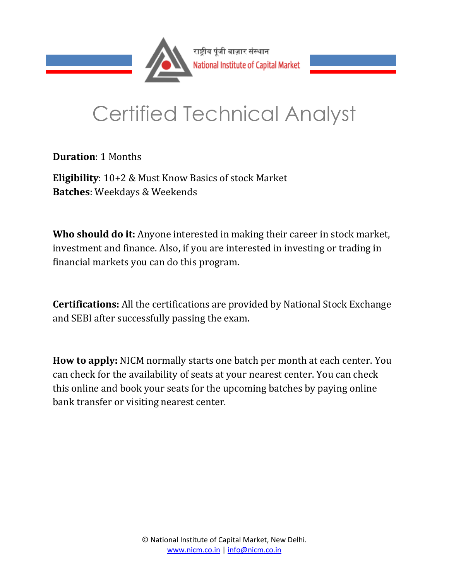

## Certified Technical Analyst

**Duration**: 1 Months

**Eligibility**: 10+2 & Must Know Basics of stock Market **Batches**: Weekdays & Weekends

**Who should do it:** Anyone interested in making their career in stock market, investment and finance. Also, if you are interested in investing or trading in financial markets you can do this program.

**Certifications:** All the certifications are provided by National Stock Exchange and SEBI after successfully passing the exam.

**How to apply:** NICM normally starts one batch per month at each center. You can check for the availability of seats at your nearest center. You can check this online and book your seats for the upcoming batches by paying online bank transfer or visiting nearest center.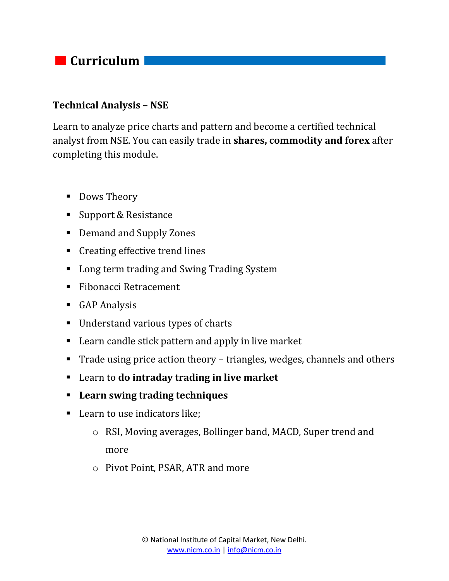

## **Technical Analysis – NSE**

Learn to analyze price charts and pattern and become a certified technical analyst from NSE. You can easily trade in **shares, commodity and forex** after completing this module.

- Dows Theory
- Support & Resistance
- Demand and Supply Zones
- Creating effective trend lines
- Long term trading and Swing Trading System
- Fibonacci Retracement
- **GAP Analysis**
- Understand various types of charts
- Learn candle stick pattern and apply in live market
- Trade using price action theory triangles, wedges, channels and others
- Learn to **do intraday trading in live market**
- **Learn swing trading techniques**
- Learn to use indicators like;
	- o RSI, Moving averages, Bollinger band, MACD, Super trend and more
	- o Pivot Point, PSAR, ATR and more